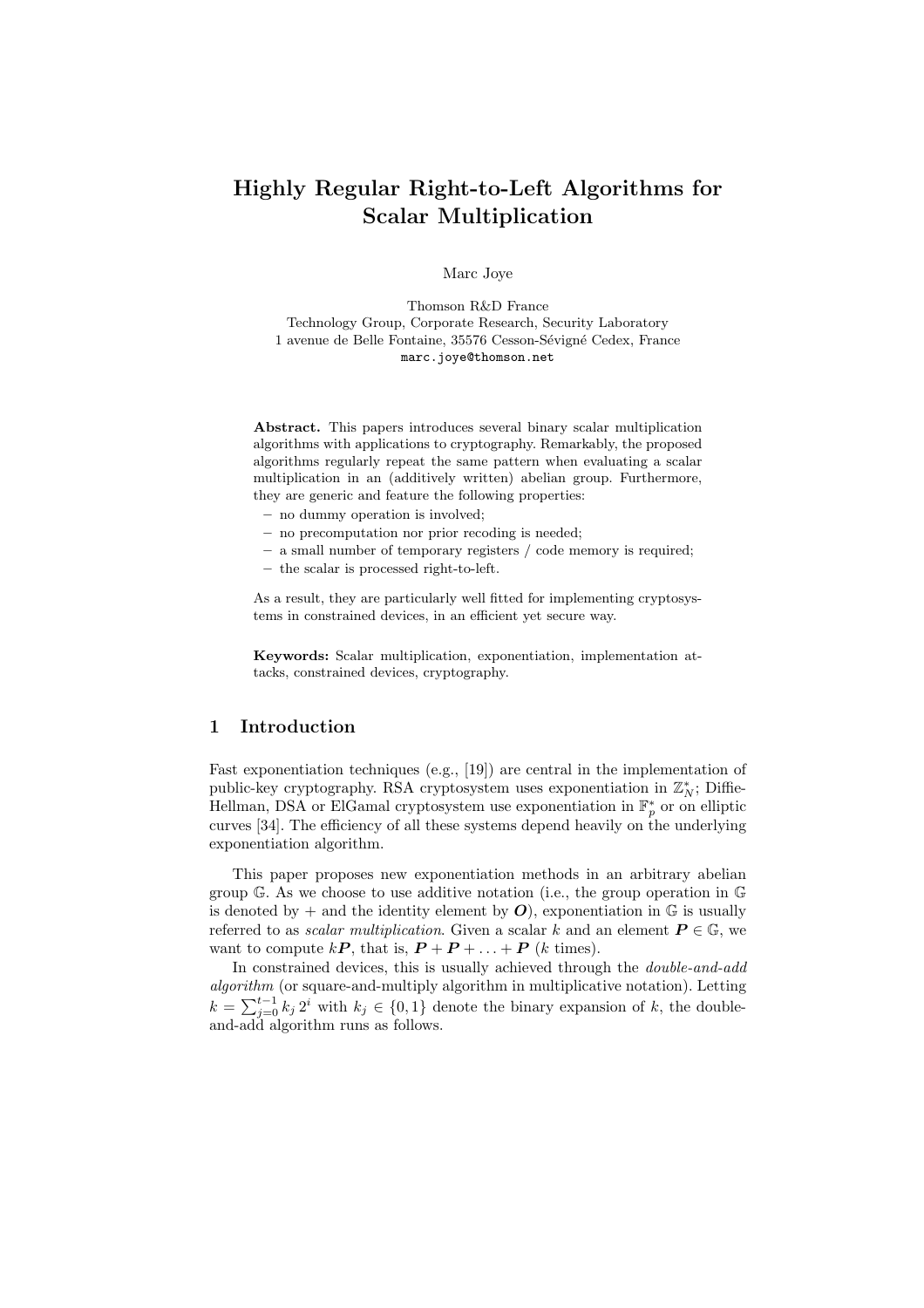# Highly Regular Right-to-Left Algorithms for Scalar Multiplication

Marc Joye

Thomson R&D France Technology Group, Corporate Research, Security Laboratory 1 avenue de Belle Fontaine, 35576 Cesson-Sévigné Cedex, France marc.joye@thomson.net

Abstract. This papers introduces several binary scalar multiplication algorithms with applications to cryptography. Remarkably, the proposed algorithms regularly repeat the same pattern when evaluating a scalar multiplication in an (additively written) abelian group. Furthermore, they are generic and feature the following properties:

- no dummy operation is involved;
- no precomputation nor prior recoding is needed;
- a small number of temporary registers / code memory is required;
- the scalar is processed right-to-left.

As a result, they are particularly well fitted for implementing cryptosystems in constrained devices, in an efficient yet secure way.

Keywords: Scalar multiplication, exponentiation, implementation attacks, constrained devices, cryptography.

## 1 Introduction

Fast exponentiation techniques (e.g., [19]) are central in the implementation of public-key cryptography. RSA cryptosystem uses exponentiation in  $\mathbb{Z}_N^*$ ; Diffie-Hellman, DSA or ElGamal cryptosystem use exponentiation in  $\mathbb{F}_p^*$  or on elliptic curves [34]. The efficiency of all these systems depend heavily on the underlying exponentiation algorithm.

This paper proposes new exponentiation methods in an arbitrary abelian group G. As we choose to use additive notation (i.e., the group operation in G is denoted by  $+$  and the identity element by  $O$ , exponentiation in  $\mathbb{G}$  is usually referred to as *scalar multiplication*. Given a scalar k and an element  $P \in \mathbb{G}$ , we want to compute  $kP$ , that is,  $P + P + \ldots + P$  (k times).

In constrained devices, this is usually achieved through the *double-and-add* algorithm (or square-and-multiply algorithm in multiplicative notation). Letting dependence of square-and-multiply algorithm in multiplicative notation). Letting  $k = \sum_{j=0}^{t-1} k_j 2^i$  with  $k_j \in \{0,1\}$  denote the binary expansion of k, the doubleand-add algorithm runs as follows.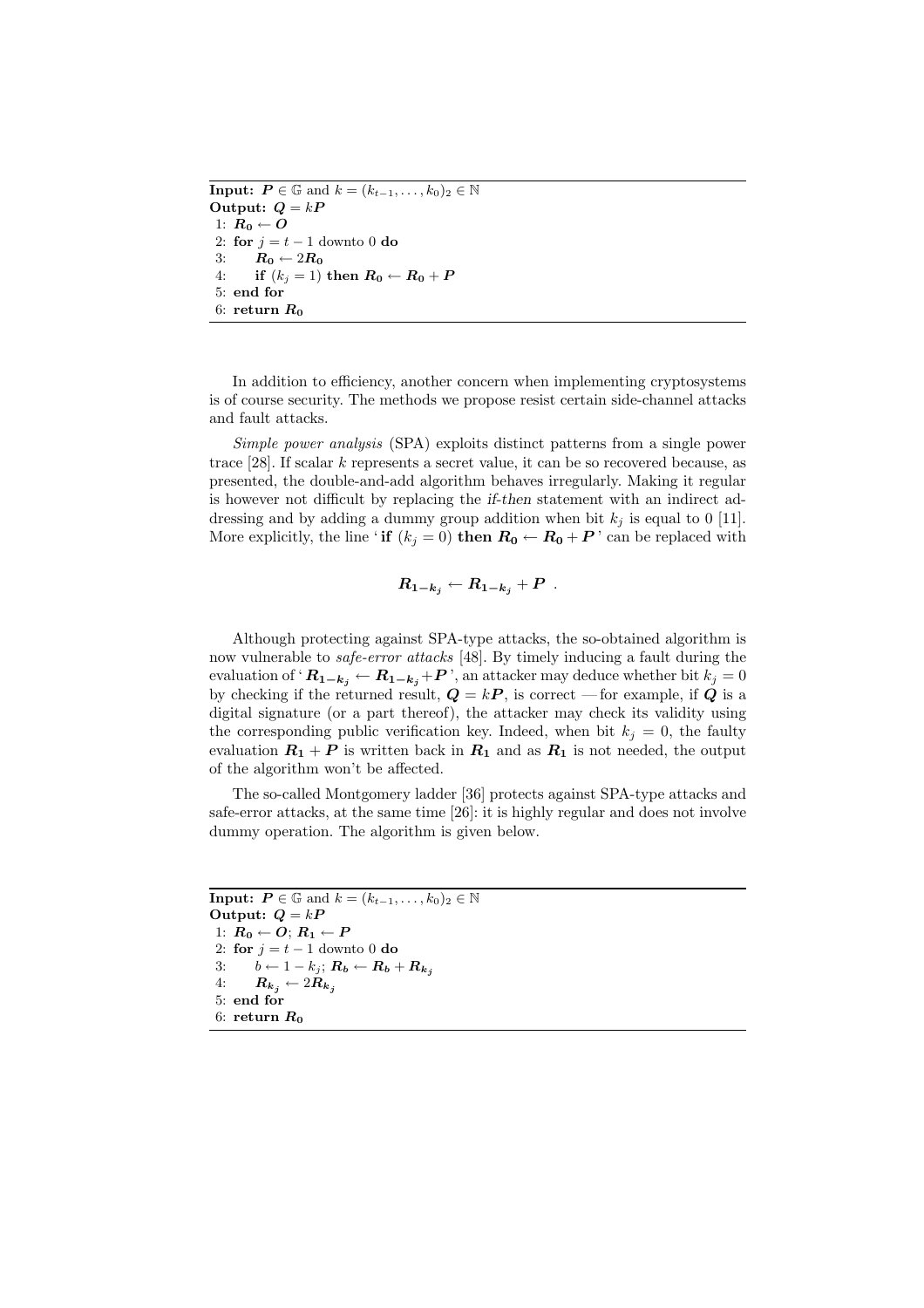**Input:**  $P \in \mathbb{G}$  and  $k = (k_{t-1}, \ldots, k_0)_2 \in \mathbb{N}$ Output:  $Q = kP$ 1:  $R_0 \leftarrow O$ 2: for  $j = t - 1$  downto 0 do 3:  $R_0 \leftarrow 2R_0$ 4: if  $(k_j = 1)$  then  $R_0 \leftarrow R_0 + P$ 5: end for 6: return  $R_0$ 

In addition to efficiency, another concern when implementing cryptosystems is of course security. The methods we propose resist certain side-channel attacks and fault attacks.

Simple power analysis (SPA) exploits distinct patterns from a single power trace [28]. If scalar k represents a secret value, it can be so recovered because, as presented, the double-and-add algorithm behaves irregularly. Making it regular is however not difficult by replacing the if-then statement with an indirect addressing and by adding a dummy group addition when bit  $k_i$  is equal to 0 [11]. More explicitly, the line 'if  $(k_i = 0)$  then  $R_0 \leftarrow R_0 + P$ ' can be replaced with

$$
R_{1-k_j} \leftarrow R_{1-k_j} + P \enspace .
$$

Although protecting against SPA-type attacks, the so-obtained algorithm is now vulnerable to safe-error attacks [48]. By timely inducing a fault during the evaluation of ' $R_{1-k_j} \leftarrow R_{1-k_j} + P$ ', an attacker may deduce whether bit  $k_j = 0$ by checking if the returned result,  $Q = kP$ , is correct — for example, if Q is a digital signature (or a part thereof), the attacker may check its validity using the corresponding public verification key. Indeed, when bit  $k_j = 0$ , the faulty evaluation  $R_1 + P$  is written back in  $R_1$  and as  $R_1$  is not needed, the output of the algorithm won't be affected.

The so-called Montgomery ladder [36] protects against SPA-type attacks and safe-error attacks, at the same time [26]: it is highly regular and does not involve dummy operation. The algorithm is given below.

```
Input: P \in \mathbb{G} and k = (k_{t-1}, \ldots, k_0)_2 \in \mathbb{N}Output: Q = kP1: R_0 \leftarrow O; R_1 \leftarrow P2: for j = t - 1 downto 0 do
3: b \leftarrow 1 - k_j; R_b \leftarrow R_b + R_{k_j}4: R_{k_j} \leftarrow 2R_{k_j}5: end for
6: return R_0
```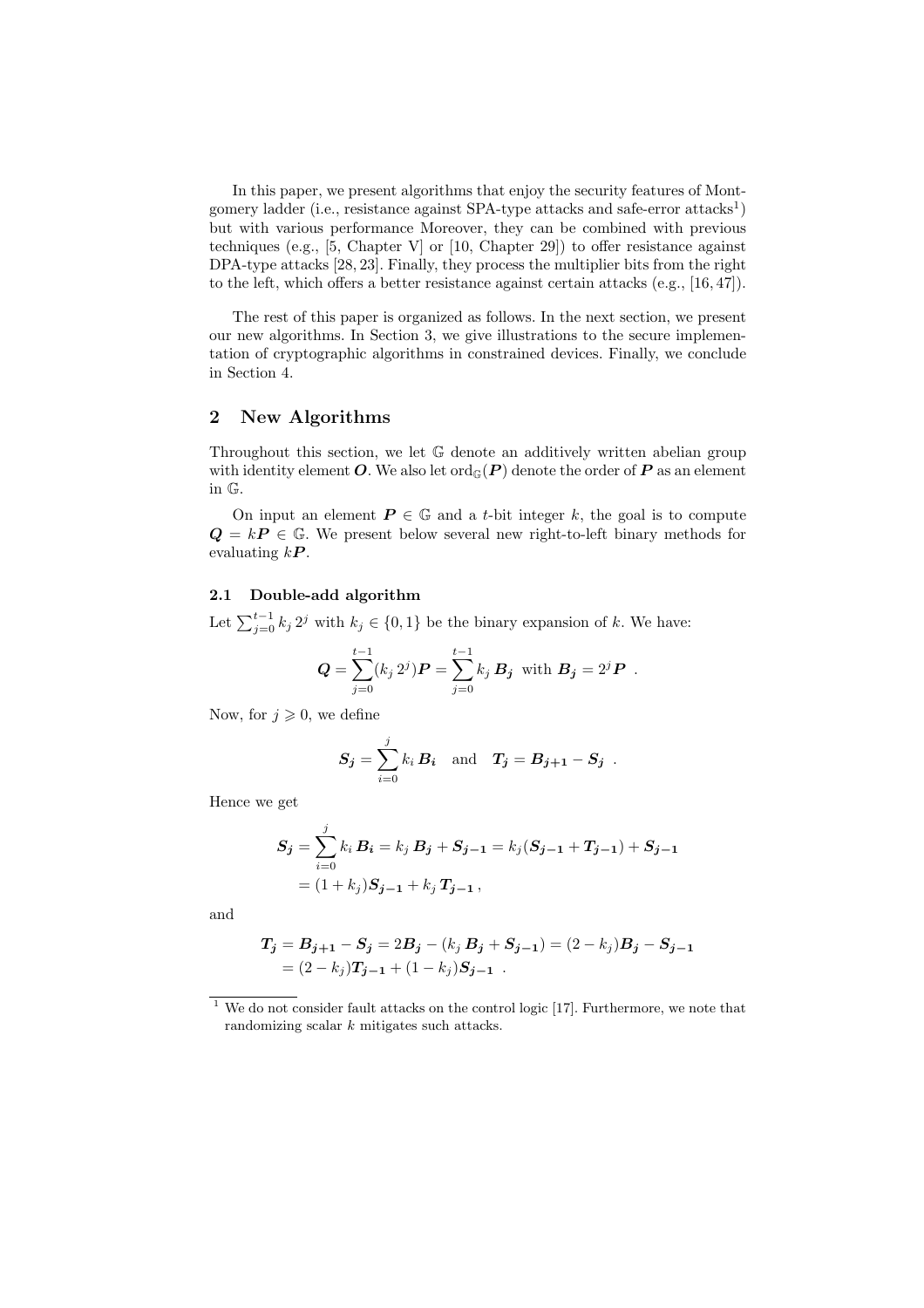In this paper, we present algorithms that enjoy the security features of Montgomery ladder (i.e., resistance against SPA-type attacks and safe-error attacks<sup>1</sup>) but with various performance Moreover, they can be combined with previous techniques (e.g., [5, Chapter V] or [10, Chapter 29]) to offer resistance against DPA-type attacks [28, 23]. Finally, they process the multiplier bits from the right to the left, which offers a better resistance against certain attacks (e.g., [16, 47]).

The rest of this paper is organized as follows. In the next section, we present our new algorithms. In Section 3, we give illustrations to the secure implementation of cryptographic algorithms in constrained devices. Finally, we conclude in Section 4.

# 2 New Algorithms

Throughout this section, we let G denote an additively written abelian group with identity element O. We also let  $\text{ord}_{\mathbb{G}}(P)$  denote the order of P as an element in G.

On input an element  $P \in \mathbb{G}$  and a t-bit integer k, the goal is to compute  $Q = kP \in \mathbb{G}$ . We present below several new right-to-left binary methods for evaluating  $kP$ .

## 2.1 Double-add algorithm

Let  $\sum_{j=0}^{t-1} k_j 2^j$  with  $k_j \in \{0,1\}$  be the binary expansion of k. We have:

$$
\mathbf{Q} = \sum_{j=0}^{t-1} (k_j 2^j) \mathbf{P} = \sum_{j=0}^{t-1} k_j \, \mathbf{B}_j \text{ with } \mathbf{B}_j = 2^j \mathbf{P}.
$$

Now, for  $j \geqslant 0$ , we define

$$
S_j = \sum_{i=0}^j k_i B_i \text{ and } T_j = B_{j+1} - S_j.
$$

Hence we get

$$
S_j = \sum_{i=0}^j k_i B_i = k_j B_j + S_{j-1} = k_j (S_{j-1} + T_{j-1}) + S_{j-1}
$$
  
=  $(1 + k_j)S_{j-1} + k_j T_{j-1}$ ,

and

$$
T_j = B_{j+1} - S_j = 2B_j - (k_j B_j + S_{j-1}) = (2 - k_j)B_j - S_{j-1}
$$
  
=  $(2 - k_j)T_{j-1} + (1 - k_j)S_{j-1}$ .

 $1$  We do not consider fault attacks on the control logic [17]. Furthermore, we note that randomizing scalar k mitigates such attacks.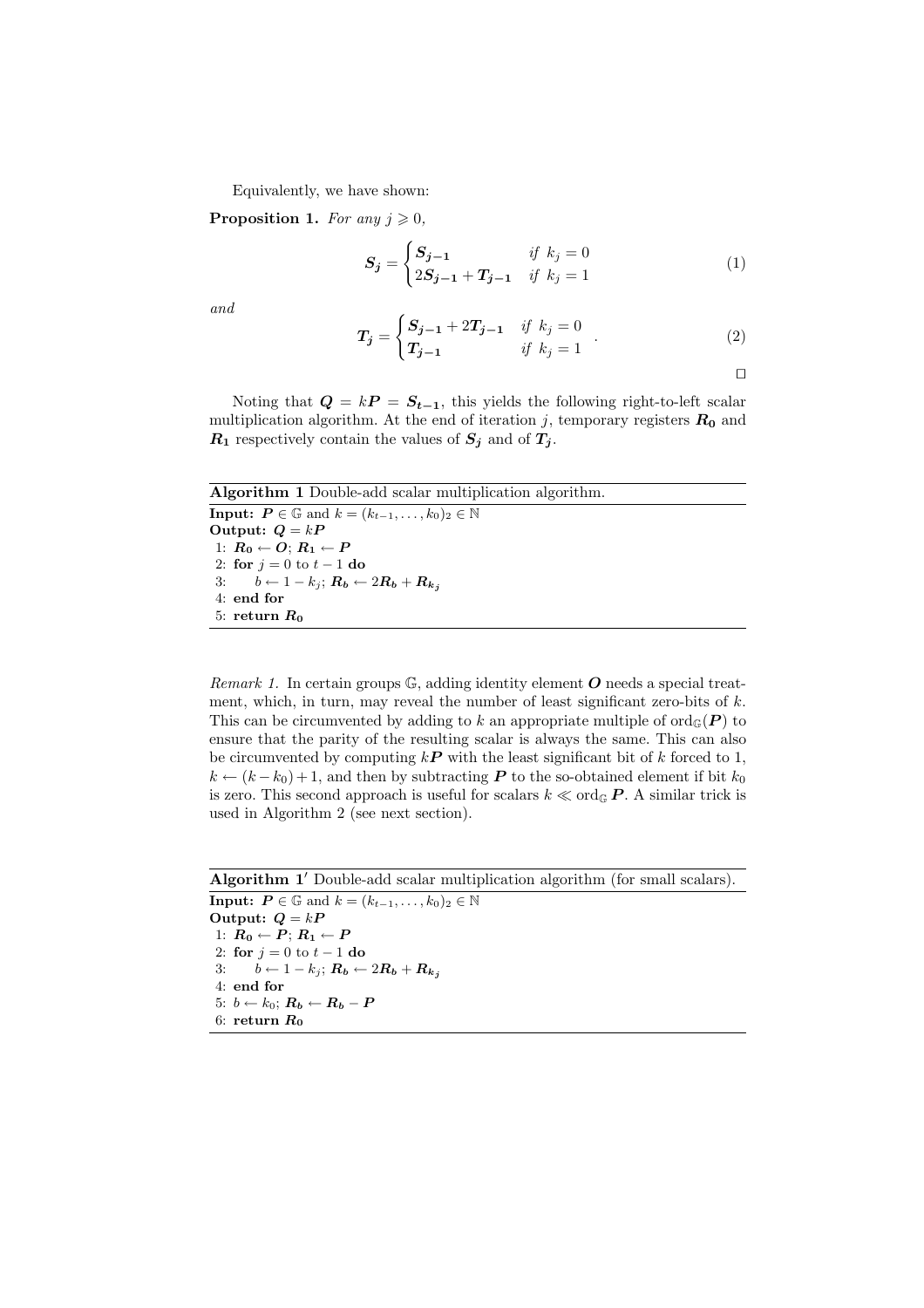Equivalently, we have shown:

**Proposition 1.** For any  $j \geq 0$ ,

$$
S_j = \begin{cases} S_{j-1} & \text{if } k_j = 0\\ 2S_{j-1} + T_{j-1} & \text{if } k_j = 1 \end{cases} \tag{1}
$$

and

$$
T_j = \begin{cases} S_{j-1} + 2T_{j-1} & \text{if } k_j = 0 \\ T_{j-1} & \text{if } k_j = 1 \end{cases} .
$$
 (2)

$$
\qquad \qquad \Box
$$

Noting that  $Q = kP = S_{t-1}$ , this yields the following right-to-left scalar multiplication algorithm. At the end of iteration j, temporary registers  $R_0$  and  $R_1$  respectively contain the values of  $S_j$  and of  $T_j$ .

```
Algorithm 1 Double-add scalar multiplication algorithm.
Input: P \in \mathbb{G} and k = (k_{t-1}, \ldots, k_0)_2 \in \mathbb{N}Output: Q = kP1: R_0 \leftarrow O; R_1 \leftarrow P2: for j = 0 to t - 1 do
3: b \leftarrow 1 - k_j; R_b \leftarrow 2R_b + R_{k_j}4: end for
5: return R_0
```
Remark 1. In certain groups  $\mathbb{G}$ , adding identity element  $O$  needs a special treatment, which, in turn, may reveal the number of least significant zero-bits of  $k$ . This can be circumvented by adding to k an appropriate multiple of  $\text{ord}_{\mathbb{G}}(P)$  to ensure that the parity of the resulting scalar is always the same. This can also be circumvented by computing  $k\mathbf{P}$  with the least significant bit of k forced to 1,  $k \leftarrow (k - k_0) + 1$ , and then by subtracting **P** to the so-obtained element if bit  $k_0$ is zero. This second approach is useful for scalars  $k \ll \text{ord}_{\mathbb{G}} P$ . A similar trick is used in Algorithm 2 (see next section).

Algorithm 1' Double-add scalar multiplication algorithm (for small scalars).

**Input:**  $P \in \mathbb{G}$  and  $k = (k_{t-1}, \ldots, k_0)_2 \in \mathbb{N}$ Output:  $Q = kP$ 1:  $R_0 \leftarrow P$ ;  $R_1 \leftarrow P$ 2: for  $j = 0$  to  $t - 1$  do 3:  $b \leftarrow 1 - k_j$ ;  $R_b \leftarrow 2R_b + R_{k_j}$ 4: end for 5:  $b \leftarrow k_0$ ;  $R_b \leftarrow R_b - P$ 6: return  $R_0$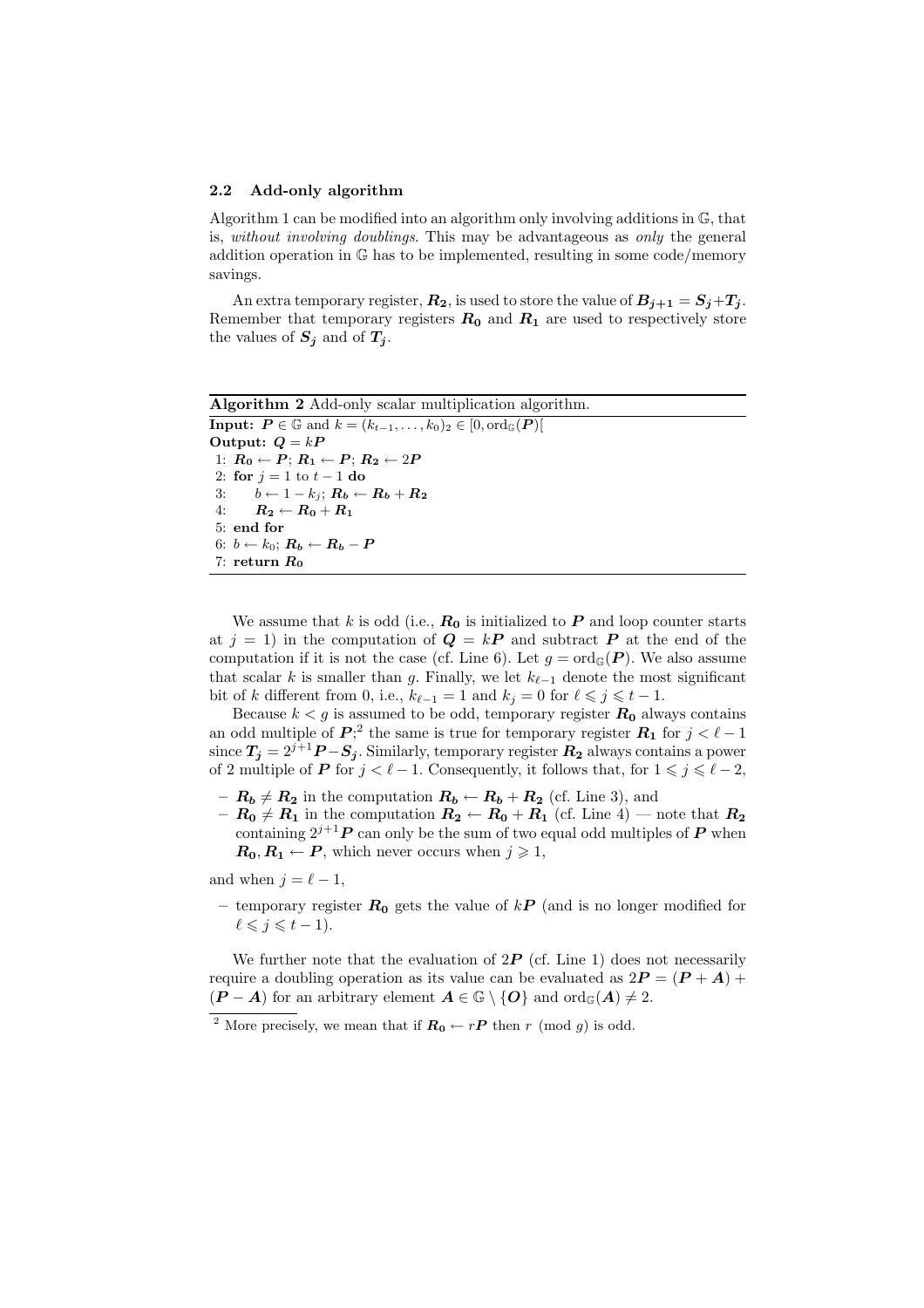#### 2.2 Add-only algorithm

Algorithm 1 can be modified into an algorithm only involving additions in G, that is, without involving doublings. This may be advantageous as only the general addition operation in G has to be implemented, resulting in some code/memory savings.

An extra temporary register,  $R_2$ , is used to store the value of  $B_{j+1} = S_j + T_j$ . Remember that temporary registers  $R_0$  and  $R_1$  are used to respectively store the values of  $S_i$  and of  $T_i$ .

```
Algorithm 2 Add-only scalar multiplication algorithm.
Input: P \in \mathbb{G} and k = (k_{t-1}, \ldots, k_0)_2 \in [0, \text{ord}_{\mathbb{G}}(P)]Output: Q = kP1: R_0 \leftarrow P; R_1 \leftarrow P; R_2 \leftarrow 2P2: for j = 1 to t - 1 do
3: b \leftarrow 1 - k_j; R_b \leftarrow R_b + R_24: R_2 \leftarrow R_0 + R_15: end for
6: b \leftarrow k_0; R_b \leftarrow R_b - P7: return R_0
```
We assume that k is odd (i.e.,  $R_0$  is initialized to P and loop counter starts at  $j = 1$ ) in the computation of  $Q = kP$  and subtract P at the end of the computation if it is not the case (cf. Line 6). Let  $g = \text{ord}_{\mathbb{G}}(P)$ . We also assume that scalar k is smaller than g. Finally, we let  $k_{\ell-1}$  denote the most significant bit of k different from 0, i.e.,  $k_{\ell-1} = 1$  and  $k_i = 0$  for  $\ell \leq j \leq t - 1$ .

Because  $k < g$  is assumed to be odd, temporary register  $R_0$  always contains an odd multiple of  $P$ <sup>2</sup>;<sup>2</sup> the same is true for temporary register  $R_1$  for  $j < \ell - 1$ since  $T_j = 2^{j+1}P - S_j$ . Similarly, temporary register  $R_2$  always contains a power of 2 multiple of P for  $j < \ell - 1$ . Consequently, it follows that, for  $1 \leq j \leq \ell - 2$ ,

- $-R_b \neq R_2$  in the computation  $R_b \leftarrow R_b + R_2$  (cf. Line 3), and
- $R_0 \neq R_1$  in the computation  $R_2 \leftarrow R_0 + R_1$  (cf. Line 4) note that  $R_2$ containing  $2^{j+1}P$  can only be the sum of two equal odd multiples of P when  $\mathbf{R_0}, \mathbf{R_1} \leftarrow \mathbf{P}$ , which never occurs when  $j \geq 1$ ,

and when  $j = \ell - 1$ ,

– temporary register  $R_0$  gets the value of kP (and is no longer modified for  $\ell \leqslant j \leqslant t - 1$ .

We further note that the evaluation of  $2P$  (cf. Line 1) does not necessarily require a doubling operation as its value can be evaluated as  $2P = (P + A) +$  $(P - A)$  for an arbitrary element  $A \in \mathbb{G} \setminus \{O\}$  and  $\text{ord}_{\mathbb{G}}(A) \neq 2$ .

<sup>&</sup>lt;sup>2</sup> More precisely, we mean that if  $R_0 \leftarrow rP$  then r (mod g) is odd.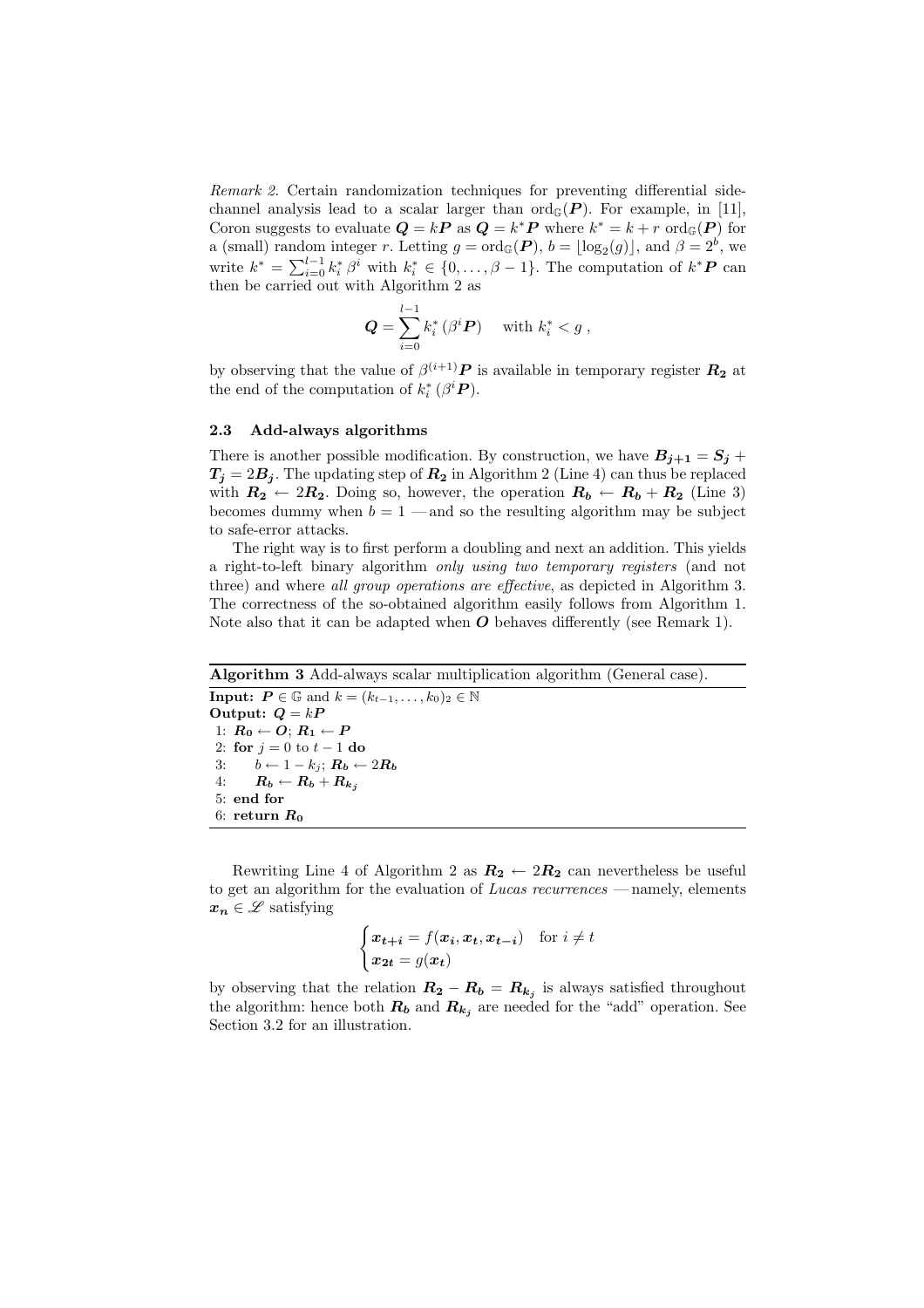Remark 2. Certain randomization techniques for preventing differential sidechannel analysis lead to a scalar larger than  $\text{ord}_{\mathbb{G}}(P)$ . For example, in [11], Coron suggests to evaluate  $Q = kP$  as  $Q = k^*P$  where  $k^* = k + r$  ord<sub> $\mathbb{G}(P)$ </sub> for a (small) random integer r. Letting  $g = \text{ord}_{\mathbb{G}}(P)$ ,  $b = \lfloor \log_2(g) \rfloor$ , and  $\beta = 2^b$ , we write  $k^* = \sum_{i=0}^{l-1} k_i^* \beta^i$  with  $k_i^* \in \{0, ..., \beta-1\}$ . The computation of  $k^* P$  can then be carried out with Algorithm 2 as

$$
\mathbf{Q} = \sum_{i=0}^{l-1} k_i^* \left( \beta^i \mathbf{P} \right) \quad \text{with } k_i^* < g \ ,
$$

by observing that the value of  $\beta^{(i+1)}P$  is available in temporary register  $R_2$  at the end of the computation of  $k_i^*$  ( $\beta^i$ **P**).

#### 2.3 Add-always algorithms

There is another possible modification. By construction, we have  $B_{i+1} = S_i +$  $T_i = 2B_i$ . The updating step of  $R_2$  in Algorithm 2 (Line 4) can thus be replaced with  $R_2 \leftarrow 2R_2$ . Doing so, however, the operation  $R_b \leftarrow R_b + R_2$  (Line 3) becomes dummy when  $b = 1$  — and so the resulting algorithm may be subject to safe-error attacks.

The right way is to first perform a doubling and next an addition. This yields a right-to-left binary algorithm only using two temporary registers (and not three) and where all group operations are effective, as depicted in Algorithm 3. The correctness of the so-obtained algorithm easily follows from Algorithm 1. Note also that it can be adapted when  $\boldsymbol{O}$  behaves differently (see Remark 1).

```
Algorithm 3 Add-always scalar multiplication algorithm (General case).
Input: P \in \mathbb{G} and k = (k_{t-1}, \ldots, k_0)_2 \in \mathbb{N}Output: Q = kP1: R_0 \leftarrow O; R_1 \leftarrow P2: for j = 0 to t - 1 do
3: b \leftarrow 1 - k_j; R_b \leftarrow 2R_b4: R_b \leftarrow R_b + R_{k_j}5: end for
6: return R_0
```
Rewriting Line 4 of Algorithm 2 as  $R_2 \leftarrow 2R_2$  can nevertheless be useful to get an algorithm for the evaluation of Lucas recurrences — namely, elements  $x_n \in \mathscr{L}$  satisfying

$$
\begin{cases} \n\boldsymbol{x}_{t+i} = f(\boldsymbol{x}_i, \boldsymbol{x}_t, \boldsymbol{x}_{t-i}) & \text{for } i \neq t \\ \n\boldsymbol{x}_{2t} = g(\boldsymbol{x}_t) & \n\end{cases}
$$

by observing that the relation  $R_2 - R_b = R_{k_j}$  is always satisfied throughout the algorithm: hence both  $R_b$  and  $R_{k_j}$  are needed for the "add" operation. See Section 3.2 for an illustration.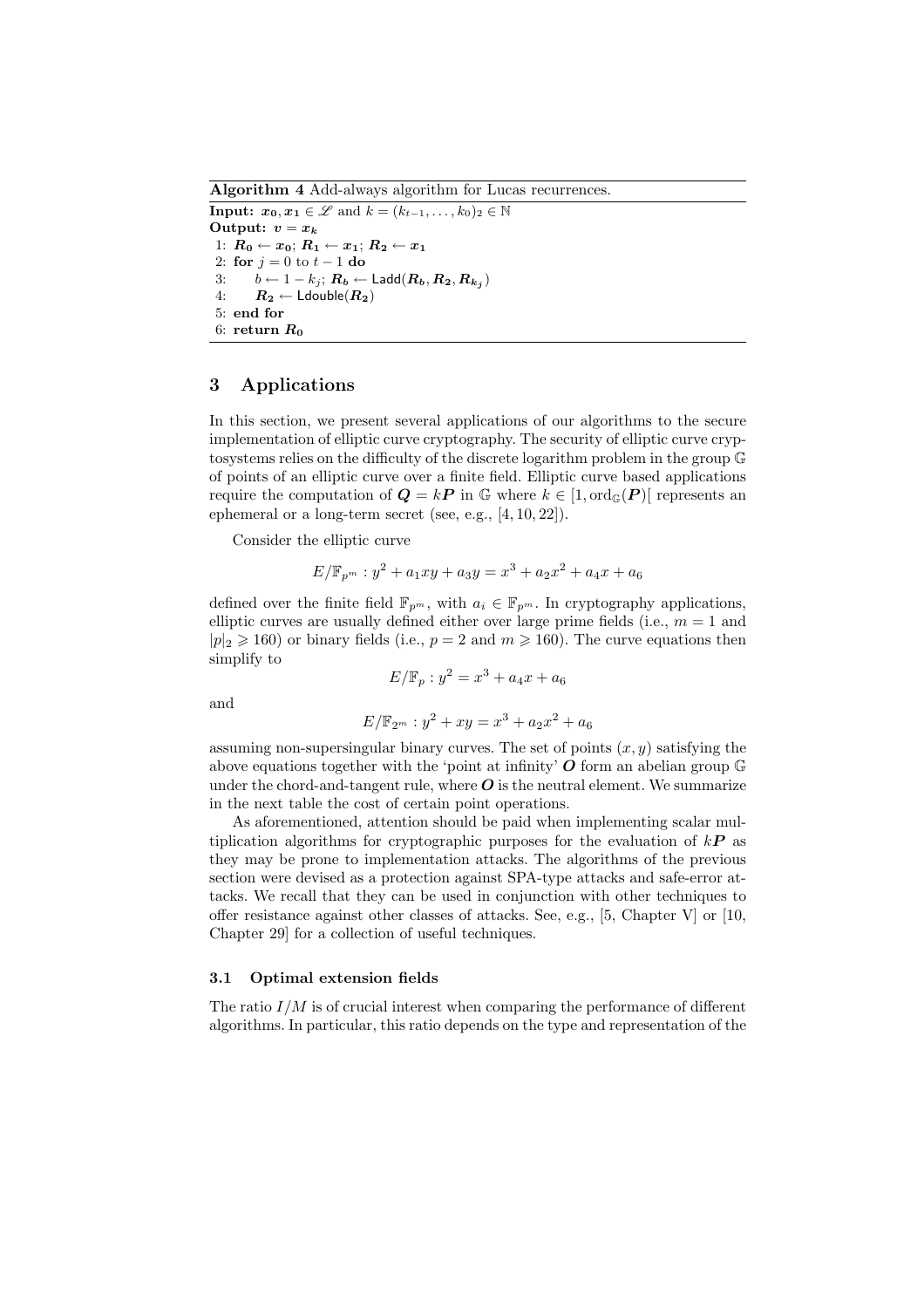Algorithm 4 Add-always algorithm for Lucas recurrences. **Input:**  $x_0, x_1 \in \mathcal{L}$  and  $k = (k_{t-1}, \ldots, k_0)_2 \in \mathbb{N}$ Output:  $v = x_k$ 1:  $R_0 \leftarrow x_0$ ;  $R_1 \leftarrow x_1$ ;  $R_2 \leftarrow x_1$ 2: for  $j = 0$  to  $t - 1$  do 3:  $b \leftarrow 1 - k_j; R_b \leftarrow \mathsf{Ladd}(R_b, R_2, R_{k_j})$ 4:  $R_2 \leftarrow$  Ldouble $(R_2)$ 5: end for 6: return  $R_0$ 

## 3 Applications

In this section, we present several applications of our algorithms to the secure implementation of elliptic curve cryptography. The security of elliptic curve cryptosystems relies on the difficulty of the discrete logarithm problem in the group G of points of an elliptic curve over a finite field. Elliptic curve based applications require the computation of  $Q = kP$  in G where  $k \in [1, \text{ord}_{\mathbb{G}}(P)]$  represents an ephemeral or a long-term secret (see, e.g., [4, 10, 22]).

Consider the elliptic curve

$$
E/\mathbb{F}_{p^m}: y^2 + a_1xy + a_3y = x^3 + a_2x^2 + a_4x + a_6
$$

defined over the finite field  $\mathbb{F}_{p^m}$ , with  $a_i \in \mathbb{F}_{p^m}$ . In cryptography applications, elliptic curves are usually defined either over large prime fields (i.e.,  $m = 1$  and  $|p|_2 \ge 160$  or binary fields (i.e.,  $p = 2$  and  $m \ge 160$ ). The curve equations then simplify to

 $E/\mathbb{F}_p : y^2 = x^3 + a_4x + a_6$ 

and

$$
E/\mathbb{F}_{2^m} : y^2 + xy = x^3 + a_2x^2 + a_6
$$

assuming non-supersingular binary curves. The set of points  $(x, y)$  satisfying the above equations together with the 'point at infinity'  $\boldsymbol{O}$  form an abelian group  $\mathbb{G}$ under the chord-and-tangent rule, where  $\bm{O}$  is the neutral element. We summarize in the next table the cost of certain point operations.

As aforementioned, attention should be paid when implementing scalar multiplication algorithms for cryptographic purposes for the evaluation of  $k\mathbf{P}$  as they may be prone to implementation attacks. The algorithms of the previous section were devised as a protection against SPA-type attacks and safe-error attacks. We recall that they can be used in conjunction with other techniques to offer resistance against other classes of attacks. See, e.g., [5, Chapter V] or [10, Chapter 29] for a collection of useful techniques.

## 3.1 Optimal extension fields

The ratio  $I/M$  is of crucial interest when comparing the performance of different algorithms. In particular, this ratio depends on the type and representation of the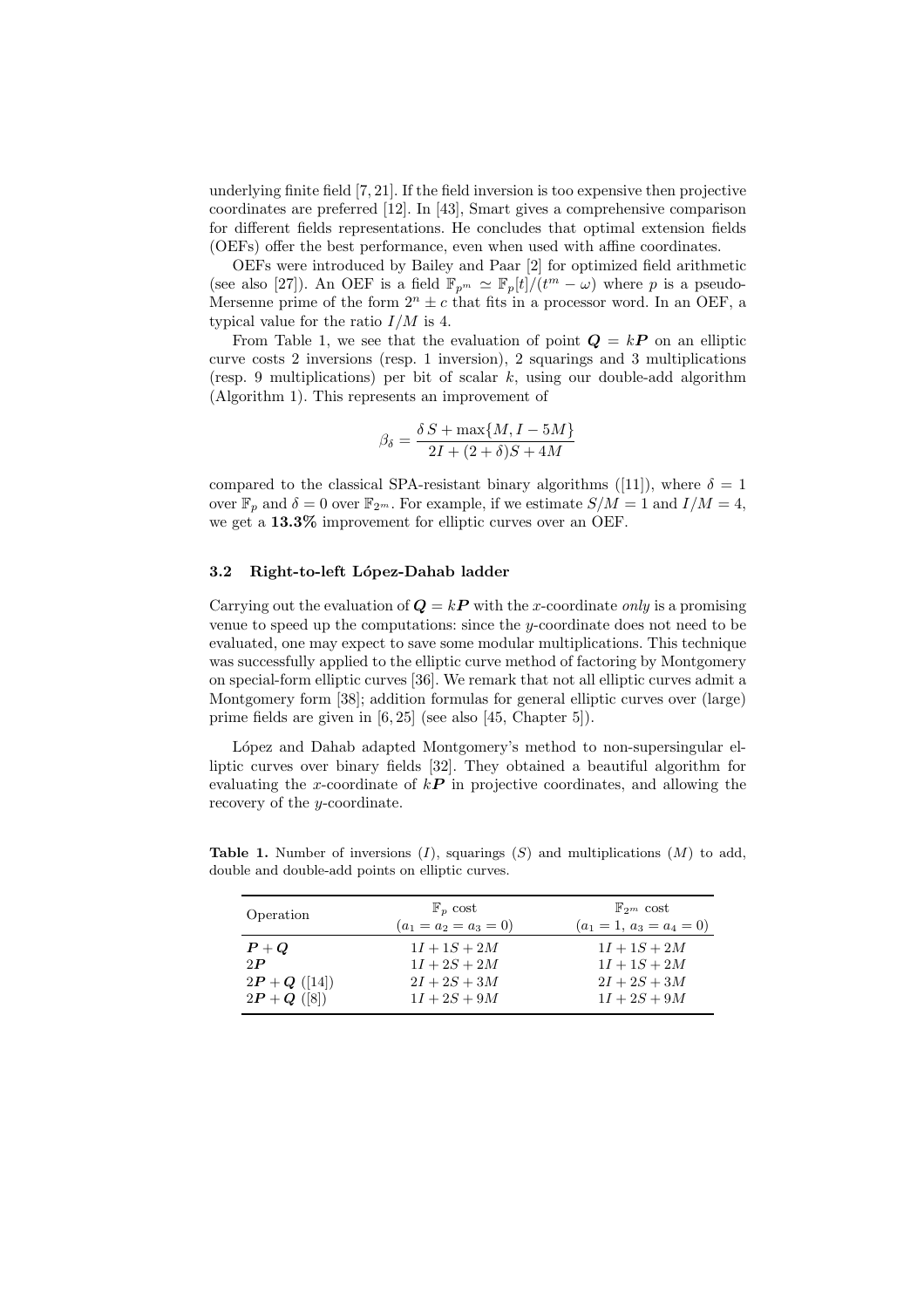underlying finite field [7, 21]. If the field inversion is too expensive then projective coordinates are preferred [12]. In [43], Smart gives a comprehensive comparison for different fields representations. He concludes that optimal extension fields (OEFs) offer the best performance, even when used with affine coordinates.

OEFs were introduced by Bailey and Paar [2] for optimized field arithmetic (see also [27]). An OEF is a field  $\mathbb{F}_{p^m} \simeq \mathbb{F}_p[t]/(t^m - \omega)$  where p is a pseudo-Mersenne prime of the form  $2^n \pm c$  that fits in a processor word. In an OEF, a typical value for the ratio  $I/M$  is 4.

From Table 1, we see that the evaluation of point  $Q = kP$  on an elliptic curve costs 2 inversions (resp. 1 inversion), 2 squarings and 3 multiplications (resp. 9 multiplications) per bit of scalar  $k$ , using our double-add algorithm (Algorithm 1). This represents an improvement of

$$
\beta_{\delta} = \frac{\delta S + \max\{M, I - 5M\}}{2I + (2 + \delta)S + 4M}
$$

compared to the classical SPA-resistant binary algorithms ([11]), where  $\delta = 1$ over  $\mathbb{F}_p$  and  $\delta = 0$  over  $\mathbb{F}_{2^m}$ . For example, if we estimate  $S/M = 1$  and  $I/M = 4$ , we get a  $13.3\%$  improvement for elliptic curves over an OEF.

## 3.2 Right-to-left López-Dahab ladder

Carrying out the evaluation of  $Q = kP$  with the x-coordinate only is a promising venue to speed up the computations: since the y-coordinate does not need to be evaluated, one may expect to save some modular multiplications. This technique was successfully applied to the elliptic curve method of factoring by Montgomery on special-form elliptic curves [36]. We remark that not all elliptic curves admit a Montgomery form [38]; addition formulas for general elliptic curves over (large) prime fields are given in [6, 25] (see also [45, Chapter 5]).

López and Dahab adapted Montgomery's method to non-supersingular elliptic curves over binary fields [32]. They obtained a beautiful algorithm for evaluating the x-coordinate of  $k\mathbf{P}$  in projective coordinates, and allowing the recovery of the y-coordinate.

| Operation                        | $\mathbb{F}_n$ cost                       | $\mathbb{F}_{2^m}$ cost                      |
|----------------------------------|-------------------------------------------|----------------------------------------------|
| $P+Q$                            | $(a_1 = a_2 = a_3 = 0)$<br>$1I + 1S + 2M$ | $(a_1 = 1, a_3 = a_4 = 0)$<br>$1I + 1S + 2M$ |
| 2P                               | $1I + 2S + 2M$                            | $1I + 1S + 2M$                               |
| $2P + Q$ ([14])<br>$2P + Q([8])$ | $2I + 2S + 3M$<br>$1I + 2S + 9M$          | $2I + 2S + 3M$<br>$1I + 2S + 9M$             |

**Table 1.** Number of inversions  $(I)$ , squarings  $(S)$  and multiplications  $(M)$  to add, double and double-add points on elliptic curves.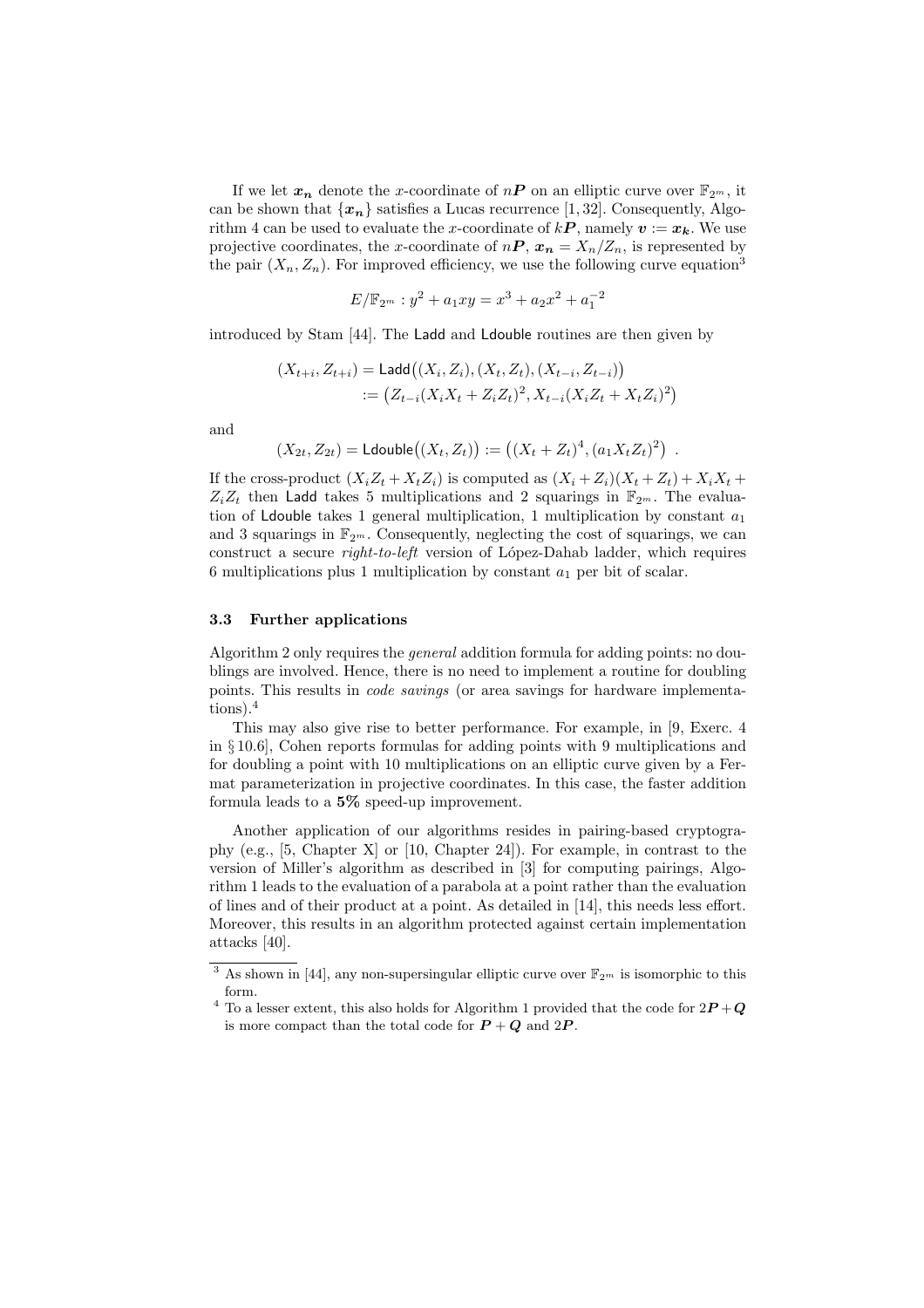If we let  $x_n$  denote the x-coordinate of  $nP$  on an elliptic curve over  $\mathbb{F}_{2^m}$ , it can be shown that  ${x_n}$  satisfies a Lucas recurrence [1, 32]. Consequently, Algorithm 4 can be used to evaluate the x-coordinate of  $kP$ , namely  $v := x_k$ . We use projective coordinates, the x-coordinate of  $nP$ ,  $x_n = X_n/Z_n$ , is represented by the pair  $(X_n, Z_n)$ . For improved efficiency, we use the following curve equation<sup>3</sup>

$$
E/\mathbb{F}_{2^m}: y^2 + a_1xy = x^3 + a_2x^2 + a_1^{-2}
$$

introduced by Stam [44]. The Ladd and Ldouble routines are then given by

$$
(X_{t+i}, Z_{t+i}) = \text{Ladd}((X_i, Z_i), (X_t, Z_t), (X_{t-i}, Z_{t-i}))
$$
  
 :=  $(Z_{t-i}(X_iX_t + Z_iZ_t)^2, X_{t-i}(X_iZ_t + X_tZ_i)^2)$ 

and

$$
(X_{2t}, Z_{2t}) =
$$
 Ldouble $((X_t, Z_t)) := ((X_t + Z_t)^4, (a_1 X_t Z_t)^2)$ .

If the cross-product  $(X_iZ_t + X_tZ_i)$  is computed as  $(X_i + Z_i)(X_t + Z_t) + X_iX_t +$  $Z_iZ_t$  then Ladd takes 5 multiplications and 2 squarings in  $\mathbb{F}_{2^m}$ . The evaluation of Ldouble takes 1 general multiplication, 1 multiplication by constant  $a_1$ and 3 squarings in  $\mathbb{F}_{2^m}$ . Consequently, neglecting the cost of squarings, we can construct a secure *right-to-left* version of López-Dahab ladder, which requires 6 multiplications plus 1 multiplication by constant  $a_1$  per bit of scalar.

## 3.3 Further applications

Algorithm 2 only requires the general addition formula for adding points: no doublings are involved. Hence, there is no need to implement a routine for doubling points. This results in code savings (or area savings for hardware implementations).<sup>4</sup>

This may also give rise to better performance. For example, in [9, Exerc. 4 in § 10.6], Cohen reports formulas for adding points with 9 multiplications and for doubling a point with 10 multiplications on an elliptic curve given by a Fermat parameterization in projective coordinates. In this case, the faster addition formula leads to a 5% speed-up improvement.

Another application of our algorithms resides in pairing-based cryptography (e.g., [5, Chapter X] or [10, Chapter 24]). For example, in contrast to the version of Miller's algorithm as described in [3] for computing pairings, Algorithm 1 leads to the evaluation of a parabola at a point rather than the evaluation of lines and of their product at a point. As detailed in [14], this needs less effort. Moreover, this results in an algorithm protected against certain implementation attacks [40].

<sup>&</sup>lt;sup>3</sup> As shown in [44], any non-supersingular elliptic curve over  $\mathbb{F}_{2^m}$  is isomorphic to this form.

<sup>&</sup>lt;sup>4</sup> To a lesser extent, this also holds for Algorithm 1 provided that the code for  $2P+Q$ is more compact than the total code for  $P + Q$  and  $2P$ .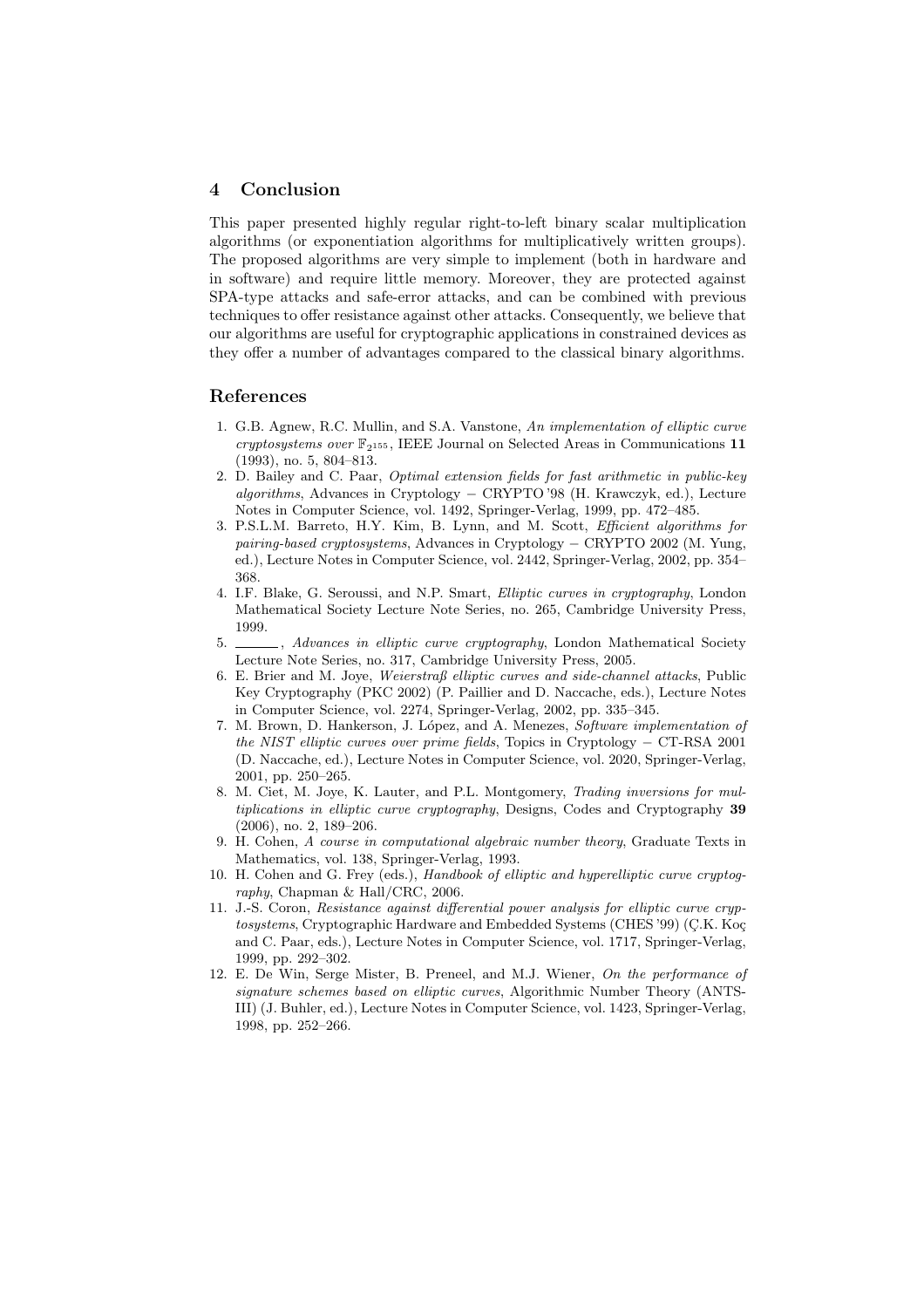## 4 Conclusion

This paper presented highly regular right-to-left binary scalar multiplication algorithms (or exponentiation algorithms for multiplicatively written groups). The proposed algorithms are very simple to implement (both in hardware and in software) and require little memory. Moreover, they are protected against SPA-type attacks and safe-error attacks, and can be combined with previous techniques to offer resistance against other attacks. Consequently, we believe that our algorithms are useful for cryptographic applications in constrained devices as they offer a number of advantages compared to the classical binary algorithms.

## References

- 1. G.B. Agnew, R.C. Mullin, and S.A. Vanstone, An implementation of elliptic curve cryptosystems over  $\mathbb{F}_{2^{155}}$ , IEEE Journal on Selected Areas in Communications 11 (1993), no. 5, 804–813.
- 2. D. Bailey and C. Paar, Optimal extension fields for fast arithmetic in public-key algorithms, Advances in Cryptology − CRYPTO '98 (H. Krawczyk, ed.), Lecture Notes in Computer Science, vol. 1492, Springer-Verlag, 1999, pp. 472–485.
- 3. P.S.L.M. Barreto, H.Y. Kim, B. Lynn, and M. Scott, Efficient algorithms for pairing-based cryptosystems, Advances in Cryptology − CRYPTO 2002 (M. Yung, ed.), Lecture Notes in Computer Science, vol. 2442, Springer-Verlag, 2002, pp. 354– 368.
- 4. I.F. Blake, G. Seroussi, and N.P. Smart, Elliptic curves in cryptography, London Mathematical Society Lecture Note Series, no. 265, Cambridge University Press, 1999.
- 5.  $\frac{1}{100}$ , Advances in elliptic curve cryptography, London Mathematical Society Lecture Note Series, no. 317, Cambridge University Press, 2005.
- 6. E. Brier and M. Joye, Weierstraß elliptic curves and side-channel attacks, Public Key Cryptography (PKC 2002) (P. Paillier and D. Naccache, eds.), Lecture Notes in Computer Science, vol. 2274, Springer-Verlag, 2002, pp. 335–345.
- 7. M. Brown, D. Hankerson, J. López, and A. Menezes, Software implementation of the NIST elliptic curves over prime fields, Topics in Cryptology − CT-RSA 2001 (D. Naccache, ed.), Lecture Notes in Computer Science, vol. 2020, Springer-Verlag, 2001, pp. 250–265.
- 8. M. Ciet, M. Joye, K. Lauter, and P.L. Montgomery, Trading inversions for multiplications in elliptic curve cryptography, Designs, Codes and Cryptography 39 (2006), no. 2, 189–206.
- 9. H. Cohen, A course in computational algebraic number theory, Graduate Texts in Mathematics, vol. 138, Springer-Verlag, 1993.
- 10. H. Cohen and G. Frey (eds.), Handbook of elliptic and hyperelliptic curve cryptography, Chapman & Hall/CRC, 2006.
- 11. J.-S. Coron, Resistance against differential power analysis for elliptic curve cryptosystems, Cryptographic Hardware and Embedded Systems (CHES '99) (C.K. Koç and C. Paar, eds.), Lecture Notes in Computer Science, vol. 1717, Springer-Verlag, 1999, pp. 292–302.
- 12. E. De Win, Serge Mister, B. Preneel, and M.J. Wiener, On the performance of signature schemes based on elliptic curves, Algorithmic Number Theory (ANTS-III) (J. Buhler, ed.), Lecture Notes in Computer Science, vol. 1423, Springer-Verlag, 1998, pp. 252–266.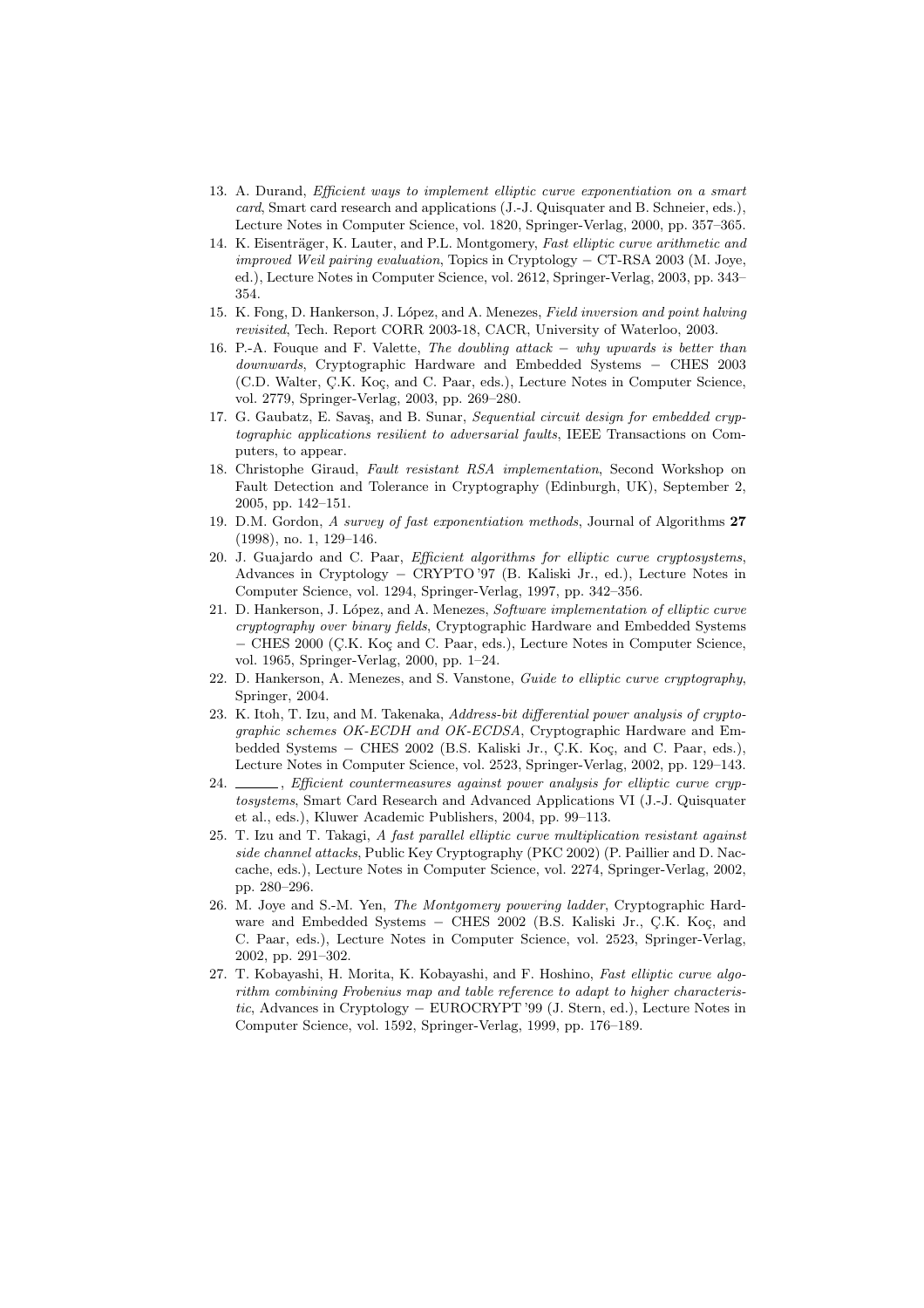- 13. A. Durand, Efficient ways to implement elliptic curve exponentiation on a smart card, Smart card research and applications (J.-J. Quisquater and B. Schneier, eds.), Lecture Notes in Computer Science, vol. 1820, Springer-Verlag, 2000, pp. 357–365.
- 14. K. Eisenträger, K. Lauter, and P.L. Montgomery, Fast elliptic curve arithmetic and improved Weil pairing evaluation, Topics in Cryptology − CT-RSA 2003 (M. Joye, ed.), Lecture Notes in Computer Science, vol. 2612, Springer-Verlag, 2003, pp. 343– 354.
- 15. K. Fong, D. Hankerson, J. López, and A. Menezes, Field inversion and point halving revisited, Tech. Report CORR 2003-18, CACR, University of Waterloo, 2003.
- 16. P.-A. Fouque and F. Valette, The doubling attack − why upwards is better than downwards, Cryptographic Hardware and Embedded Systems − CHES 2003 (C.D. Walter, Ç.K. Koç, and C. Paar, eds.), Lecture Notes in Computer Science, vol. 2779, Springer-Verlag, 2003, pp. 269–280.
- 17. G. Gaubatz, E. Savas, and B. Sunar, Sequential circuit design for embedded cryptographic applications resilient to adversarial faults, IEEE Transactions on Computers, to appear.
- 18. Christophe Giraud, Fault resistant RSA implementation, Second Workshop on Fault Detection and Tolerance in Cryptography (Edinburgh, UK), September 2, 2005, pp. 142–151.
- 19. D.M. Gordon, A survey of fast exponentiation methods, Journal of Algorithms 27 (1998), no. 1, 129–146.
- 20. J. Guajardo and C. Paar, Efficient algorithms for elliptic curve cryptosystems, Advances in Cryptology − CRYPTO '97 (B. Kaliski Jr., ed.), Lecture Notes in Computer Science, vol. 1294, Springer-Verlag, 1997, pp. 342–356.
- 21. D. Hankerson, J. López, and A. Menezes, Software implementation of elliptic curve cryptography over binary fields, Cryptographic Hardware and Embedded Systems − CHES 2000 (C¸.K. Ko¸c and C. Paar, eds.), Lecture Notes in Computer Science, vol. 1965, Springer-Verlag, 2000, pp. 1–24.
- 22. D. Hankerson, A. Menezes, and S. Vanstone, Guide to elliptic curve cryptography, Springer, 2004.
- 23. K. Itoh, T. Izu, and M. Takenaka, Address-bit differential power analysis of cryptographic schemes OK-ECDH and OK-ECDSA, Cryptographic Hardware and Embedded Systems – CHES 2002 (B.S. Kaliski Jr., C.K. Koç, and C. Paar, eds.), Lecture Notes in Computer Science, vol. 2523, Springer-Verlag, 2002, pp. 129–143.
- 24.  $\_\_\_\$ n, Efficient countermeasures against power analysis for elliptic curve cryptosystems, Smart Card Research and Advanced Applications VI (J.-J. Quisquater et al., eds.), Kluwer Academic Publishers, 2004, pp. 99–113.
- 25. T. Izu and T. Takagi, A fast parallel elliptic curve multiplication resistant against side channel attacks, Public Key Cryptography (PKC 2002) (P. Paillier and D. Naccache, eds.), Lecture Notes in Computer Science, vol. 2274, Springer-Verlag, 2002, pp. 280–296.
- 26. M. Joye and S.-M. Yen, The Montgomery powering ladder, Cryptographic Hardware and Embedded Systems – CHES 2002 (B.S. Kaliski Jr., Ç.K. Koç, and C. Paar, eds.), Lecture Notes in Computer Science, vol. 2523, Springer-Verlag, 2002, pp. 291–302.
- 27. T. Kobayashi, H. Morita, K. Kobayashi, and F. Hoshino, Fast elliptic curve algorithm combining Frobenius map and table reference to adapt to higher characteristic, Advances in Cryptology − EUROCRYPT '99 (J. Stern, ed.), Lecture Notes in Computer Science, vol. 1592, Springer-Verlag, 1999, pp. 176–189.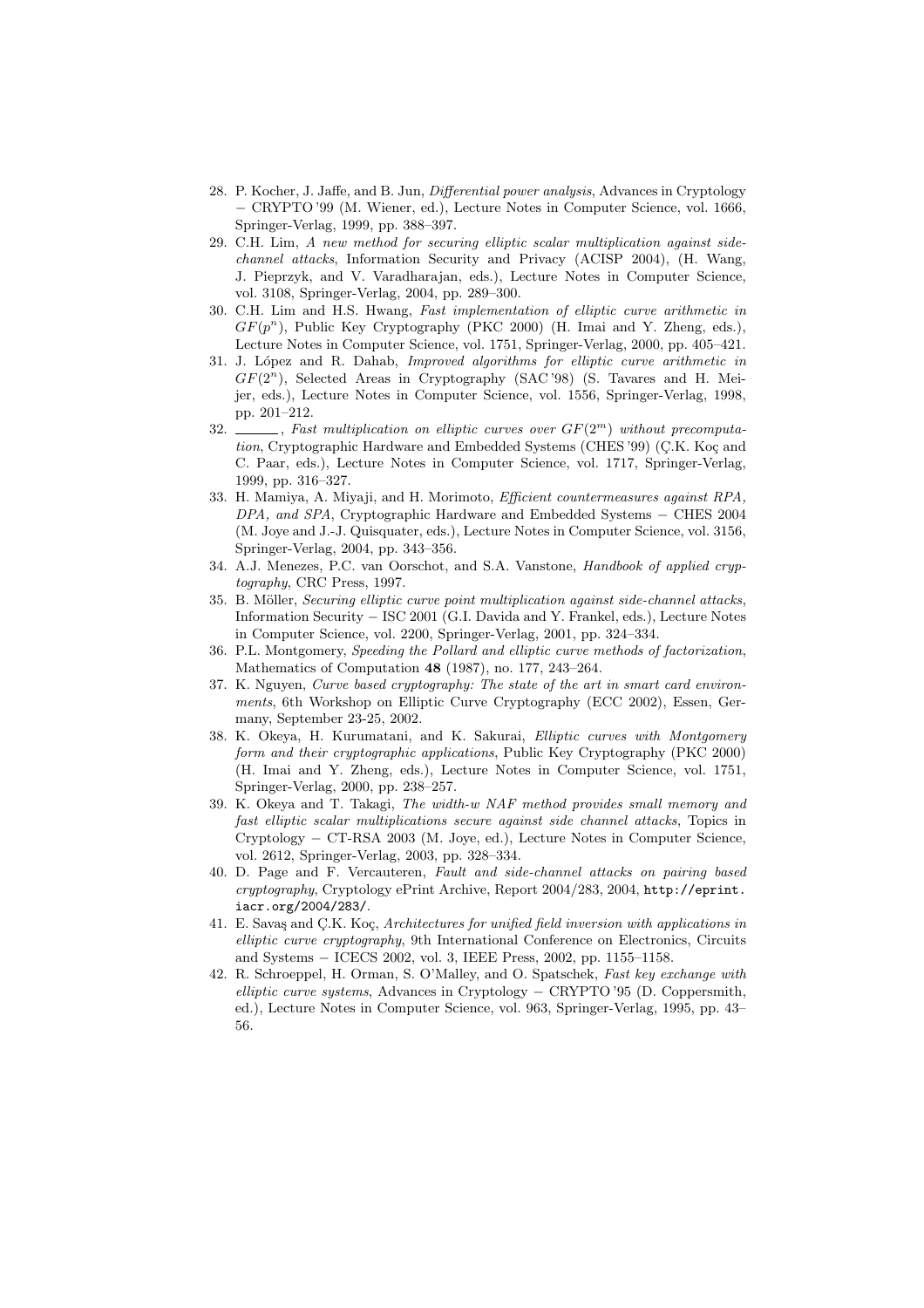- 28. P. Kocher, J. Jaffe, and B. Jun, Differential power analysis, Advances in Cryptology − CRYPTO '99 (M. Wiener, ed.), Lecture Notes in Computer Science, vol. 1666, Springer-Verlag, 1999, pp. 388–397.
- 29. C.H. Lim, A new method for securing elliptic scalar multiplication against sidechannel attacks, Information Security and Privacy (ACISP 2004), (H. Wang, J. Pieprzyk, and V. Varadharajan, eds.), Lecture Notes in Computer Science, vol. 3108, Springer-Verlag, 2004, pp. 289–300.
- 30. C.H. Lim and H.S. Hwang, Fast implementation of elliptic curve arithmetic in  $GF(p^n)$ , Public Key Cryptography (PKC 2000) (H. Imai and Y. Zheng, eds.), Lecture Notes in Computer Science, vol. 1751, Springer-Verlag, 2000, pp. 405–421.
- 31. J. López and R. Dahab, *Improved algorithms for elliptic curve arithmetic in*  $GF(2<sup>n</sup>)$ , Selected Areas in Cryptography (SAC'98) (S. Tavares and H. Meijer, eds.), Lecture Notes in Computer Science, vol. 1556, Springer-Verlag, 1998, pp. 201–212.
- 32.  $\ldots$ , Fast multiplication on elliptic curves over  $GF(2^m)$  without precomputation, Cryptographic Hardware and Embedded Systems (CHES '99) (Ç.K. Koç and C. Paar, eds.), Lecture Notes in Computer Science, vol. 1717, Springer-Verlag, 1999, pp. 316–327.
- 33. H. Mamiya, A. Miyaji, and H. Morimoto, Efficient countermeasures against RPA, DPA, and SPA, Cryptographic Hardware and Embedded Systems – CHES 2004 (M. Joye and J.-J. Quisquater, eds.), Lecture Notes in Computer Science, vol. 3156, Springer-Verlag, 2004, pp. 343–356.
- 34. A.J. Menezes, P.C. van Oorschot, and S.A. Vanstone, Handbook of applied cryptography, CRC Press, 1997.
- 35. B. Möller, Securing elliptic curve point multiplication against side-channel attacks, Information Security − ISC 2001 (G.I. Davida and Y. Frankel, eds.), Lecture Notes in Computer Science, vol. 2200, Springer-Verlag, 2001, pp. 324–334.
- 36. P.L. Montgomery, Speeding the Pollard and elliptic curve methods of factorization, Mathematics of Computation 48 (1987), no. 177, 243–264.
- 37. K. Nguyen, Curve based cryptography: The state of the art in smart card environments, 6th Workshop on Elliptic Curve Cryptography (ECC 2002), Essen, Germany, September 23-25, 2002.
- 38. K. Okeya, H. Kurumatani, and K. Sakurai, Elliptic curves with Montgomery form and their cryptographic applications, Public Key Cryptography (PKC 2000) (H. Imai and Y. Zheng, eds.), Lecture Notes in Computer Science, vol. 1751, Springer-Verlag, 2000, pp. 238–257.
- 39. K. Okeya and T. Takagi, The width-w NAF method provides small memory and fast elliptic scalar multiplications secure against side channel attacks, Topics in Cryptology − CT-RSA 2003 (M. Joye, ed.), Lecture Notes in Computer Science, vol. 2612, Springer-Verlag, 2003, pp. 328–334.
- 40. D. Page and F. Vercauteren, Fault and side-channel attacks on pairing based cryptography, Cryptology ePrint Archive, Report 2004/283, 2004, http://eprint. iacr.org/2004/283/.
- 41. E. Savaş and Ç.K. Koç, Architectures for unified field inversion with applications in elliptic curve cryptography, 9th International Conference on Electronics, Circuits and Systems − ICECS 2002, vol. 3, IEEE Press, 2002, pp. 1155–1158.
- 42. R. Schroeppel, H. Orman, S. O'Malley, and O. Spatschek, Fast key exchange with elliptic curve systems, Advances in Cryptology − CRYPTO '95 (D. Coppersmith, ed.), Lecture Notes in Computer Science, vol. 963, Springer-Verlag, 1995, pp. 43– 56.